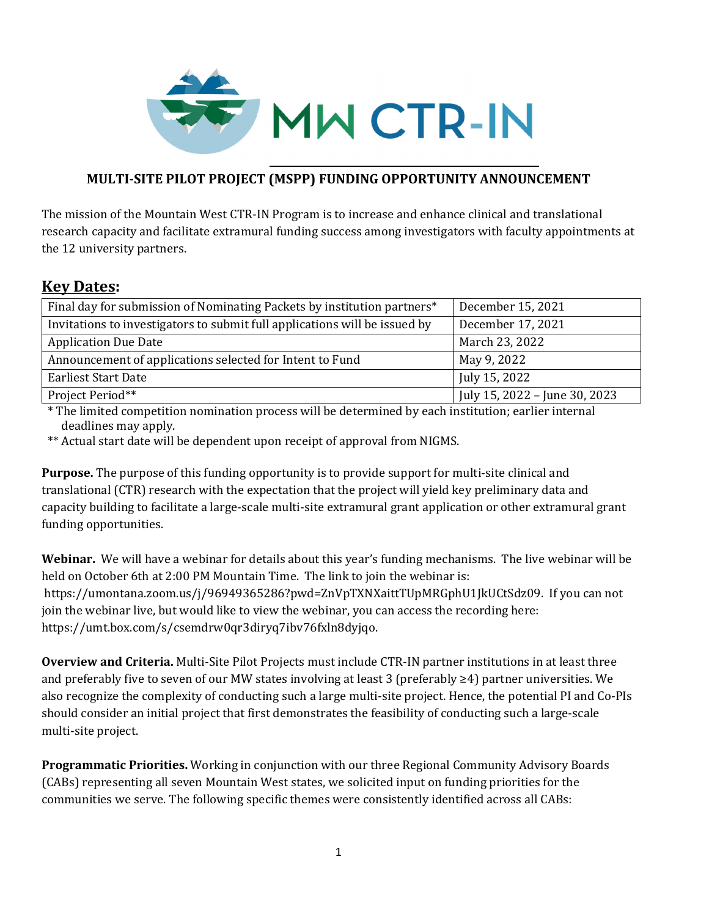

# **MULTI‐SITE PILOT PROJECT (MSPP) FUNDING OPPORTUNITY ANNOUNCEMENT**

The mission of the Mountain West CTR-IN Program is to increase and enhance clinical and translational research capacity and facilitate extramural funding success among investigators with faculty appointments at the 12 university partners.

# **Key Dates:**

| Final day for submission of Nominating Packets by institution partners*    | December 15, 2021             |
|----------------------------------------------------------------------------|-------------------------------|
| Invitations to investigators to submit full applications will be issued by | December 17, 2021             |
| <b>Application Due Date</b>                                                | March 23, 2022                |
| Announcement of applications selected for Intent to Fund                   | May 9, 2022                   |
| <b>Earliest Start Date</b>                                                 | July 15, 2022                 |
| Project Period**                                                           | July 15, 2022 - June 30, 2023 |

\* The limited competition nomination process will be determined by each institution; earlier internal deadlines may apply.

\*\* Actual start date will be dependent upon receipt of approval from NIGMS.

**Purpose.** The purpose of this funding opportunity is to provide support for multi-site clinical and translational (CTR) research with the expectation that the project will yield key preliminary data and capacity building to facilitate a large-scale multi-site extramural grant application or other extramural grant funding opportunities.

**Webinar.** We will have a webinar for details about this year's funding mechanisms. The live webinar will be held on October 6th at 2:00 PM Mountain Time. The link to join the webinar is: https://umontana.zoom.us/j/96949365286?pwd=ZnVpTXNXaittTUpMRGphU1JkUCtSdz09. If you can not join the webinar live, but would like to view the webinar, you can access the recording here: https://umt.box.com/s/csemdrw0qr3diryq7ibv76fxln8dyjqo.

**Overview and Criteria.** Multi-Site Pilot Projects must include CTR-IN partner institutions in at least three and preferably five to seven of our MW states involving at least 3 (preferably ≥4) partner universities. We also recognize the complexity of conducting such a large multi-site project. Hence, the potential PI and Co-PIs should consider an initial project that first demonstrates the feasibility of conducting such a large-scale multi-site project.

**Programmatic Priorities.** Working in conjunction with our three Regional Community Advisory Boards (CABs) representing all seven Mountain West states, we solicited input on funding priorities for the communities we serve. The following specific themes were consistently identified across all CABs: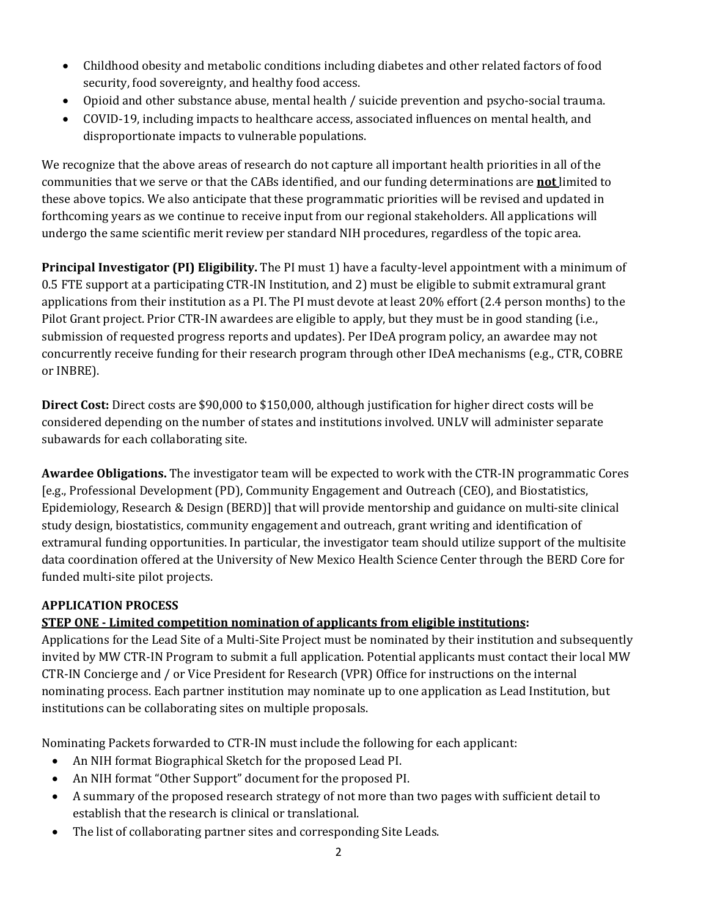- Childhood obesity and metabolic conditions including diabetes and other related factors of food security, food sovereignty, and healthy food access.
- Opioid and other substance abuse, mental health / suicide prevention and psycho-social trauma.
- COVID-19, including impacts to healthcare access, associated influences on mental health, and disproportionate impacts to vulnerable populations.

We recognize that the above areas of research do not capture all important health priorities in all of the communities that we serve or that the CABs identified, and our funding determinations are **not** limited to these above topics. We also anticipate that these programmatic priorities will be revised and updated in forthcoming years as we continue to receive input from our regional stakeholders. All applications will undergo the same scientific merit review per standard NIH procedures, regardless of the topic area.

**Principal Investigator (PI) Eligibility.** The PI must 1) have a faculty-level appointment with a minimum of 0.5 FTE support at a participating CTR-IN Institution, and 2) must be eligible to submit extramural grant applications from their institution as a PI. The PI must devote at least 20% effort (2.4 person months) to the Pilot Grant project. Prior CTR-IN awardees are eligible to apply, but they must be in good standing (i.e., submission of requested progress reports and updates). Per IDeA program policy, an awardee may not concurrently receive funding for their research program through other IDeA mechanisms (e.g., CTR, COBRE or INBRE).

**Direct Cost:** Direct costs are \$90,000 to \$150,000, although justification for higher direct costs will be considered depending on the number of states and institutions involved. UNLV will administer separate subawards for each collaborating site.

**Awardee Obligations.** The investigator team will be expected to work with the CTR-IN programmatic Cores [e.g., Professional Development (PD), Community Engagement and Outreach (CEO), and Biostatistics, Epidemiology, Research & Design (BERD)] that will provide mentorship and guidance on multi-site clinical study design, biostatistics, community engagement and outreach, grant writing and identification of extramural funding opportunities. In particular, the investigator team should utilize support of the multisite data coordination offered at the University of New Mexico Health Science Center through the BERD Core for funded multi-site pilot projects.

## **APPLICATION PROCESS**

## **STEP ONE** – Limited competition nomination of applicants from eligible institutions:

Applications for the Lead Site of a Multi-Site Project must be nominated by their institution and subsequently invited by MW CTR-IN Program to submit a full application. Potential applicants must contact their local MW CTR-IN Concierge and / or Vice President for Research (VPR) Office for instructions on the internal nominating process. Each partner institution may nominate up to one application as Lead Institution, but institutions can be collaborating sites on multiple proposals.

Nominating Packets forwarded to CTR-IN must include the following for each applicant:

- An NIH format Biographical Sketch for the proposed Lead PI.
- An NIH format "Other Support" document for the proposed PI.
- A summary of the proposed research strategy of not more than two pages with sufficient detail to establish that the research is clinical or translational.
- The list of collaborating partner sites and corresponding Site Leads.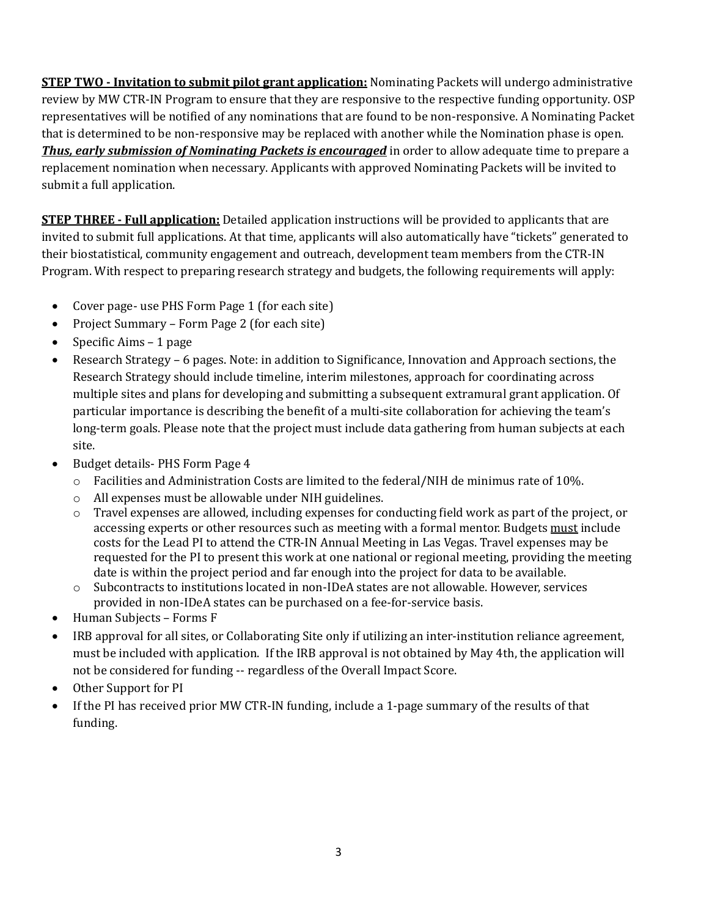**STEP TWO** - Invitation to submit pilot grant application: Nominating Packets will undergo administrative review by MW CTR-IN Program to ensure that they are responsive to the respective funding opportunity. OSP representatives will be notified of any nominations that are found to be non-responsive. A Nominating Packet that is determined to be non-responsive may be replaced with another while the Nomination phase is open. *Thus, early submission of Nominating Packets is encouraged* in order to allow adequate time to prepare a replacement nomination when necessary. Applicants with approved Nominating Packets will be invited to submit a full application.

**STEP THREE** – **Full application:** Detailed application instructions will be provided to applicants that are invited to submit full applications. At that time, applicants will also automatically have "tickets" generated to their biostatistical, community engagement and outreach, development team members from the CTR-IN Program. With respect to preparing research strategy and budgets, the following requirements will apply:

- Cover page- use PHS Form Page 1 (for each site)
- Project Summary Form Page 2 (for each site)
- Specific Aims  $-1$  page
- Research Strategy 6 pages. Note: in addition to Significance, Innovation and Approach sections, the Research Strategy should include timeline, interim milestones, approach for coordinating across multiple sites and plans for developing and submitting a subsequent extramural grant application. Of particular importance is describing the benefit of a multi-site collaboration for achieving the team's long-term goals. Please note that the project must include data gathering from human subjects at each site.
- Budget details- PHS Form Page 4
	- $\circ$  Facilities and Administration Costs are limited to the federal/NIH de minimus rate of 10%.
	- o All expenses must be allowable under NIH guidelines.
	- $\circ$  Travel expenses are allowed, including expenses for conducting field work as part of the project, or accessing experts or other resources such as meeting with a formal mentor. Budgets must include costs for the Lead PI to attend the CTR-IN Annual Meeting in Las Vegas. Travel expenses may be requested for the PI to present this work at one national or regional meeting, providing the meeting date is within the project period and far enough into the project for data to be available.
	- o Subcontracts to institutions located in non-IDeA states are not allowable. However, services provided in non-IDeA states can be purchased on a fee-for-service basis.
- Human Subjects Forms F
- IRB approval for all sites, or Collaborating Site only if utilizing an inter-institution reliance agreement, must be included with application. If the IRB approval is not obtained by May 4th, the application will not be considered for funding -- regardless of the Overall Impact Score.
- Other Support for PI
- If the PI has received prior MW CTR-IN funding, include a 1-page summary of the results of that funding.